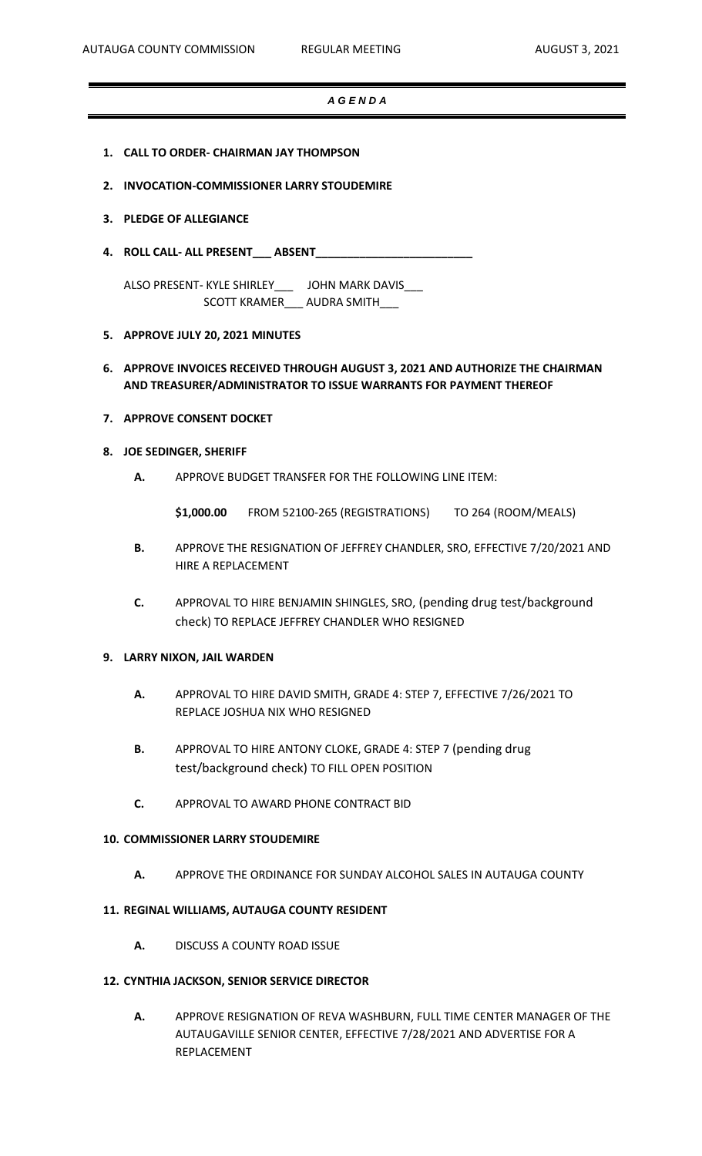# *A G E N D A*

- **1. CALL TO ORDER- CHAIRMAN JAY THOMPSON**
- **2. INVOCATION-COMMISSIONER LARRY STOUDEMIRE**

# **3. PLEDGE OF ALLEGIANCE**

**4. ROLL CALL- ALL PRESENT\_\_\_ ABSENT\_\_\_\_\_\_\_\_\_\_\_\_\_\_\_\_\_\_\_\_\_\_\_\_\_**

ALSO PRESENT- KYLE SHIRLEY\_\_\_ JOHN MARK DAVIS\_\_\_ SCOTT KRAMER\_\_\_ AUDRA SMITH\_\_\_

# **5. APPROVE JULY 20, 2021 MINUTES**

# **6. APPROVE INVOICES RECEIVED THROUGH AUGUST 3, 2021 AND AUTHORIZE THE CHAIRMAN AND TREASURER/ADMINISTRATOR TO ISSUE WARRANTS FOR PAYMENT THEREOF**

# **7. APPROVE CONSENT DOCKET**

# **8. JOE SEDINGER, SHERIFF**

**A.** APPROVE BUDGET TRANSFER FOR THE FOLLOWING LINE ITEM:

**\$1,000.00** FROM 52100-265 (REGISTRATIONS) TO 264 (ROOM/MEALS)

- **B.** APPROVE THE RESIGNATION OF JEFFREY CHANDLER, SRO, EFFECTIVE 7/20/2021 AND HIRE A REPLACEMENT
- **C.** APPROVAL TO HIRE BENJAMIN SHINGLES, SRO, (pending drug test/background check) TO REPLACE JEFFREY CHANDLER WHO RESIGNED

# **9. LARRY NIXON, JAIL WARDEN**

- **A.** APPROVAL TO HIRE DAVID SMITH, GRADE 4: STEP 7, EFFECTIVE 7/26/2021 TO REPLACE JOSHUA NIX WHO RESIGNED
- **B.** APPROVAL TO HIRE ANTONY CLOKE, GRADE 4: STEP 7 (pending drug test/background check) TO FILL OPEN POSITION
- **C.** APPROVAL TO AWARD PHONE CONTRACT BID

# **10. COMMISSIONER LARRY STOUDEMIRE**

**A.** APPROVE THE ORDINANCE FOR SUNDAY ALCOHOL SALES IN AUTAUGA COUNTY

#### **11. REGINAL WILLIAMS, AUTAUGA COUNTY RESIDENT**

**A.** DISCUSS A COUNTY ROAD ISSUE

#### **12. CYNTHIA JACKSON, SENIOR SERVICE DIRECTOR**

**A.** APPROVE RESIGNATION OF REVA WASHBURN, FULL TIME CENTER MANAGER OF THE AUTAUGAVILLE SENIOR CENTER, EFFECTIVE 7/28/2021 AND ADVERTISE FOR A REPLACEMENT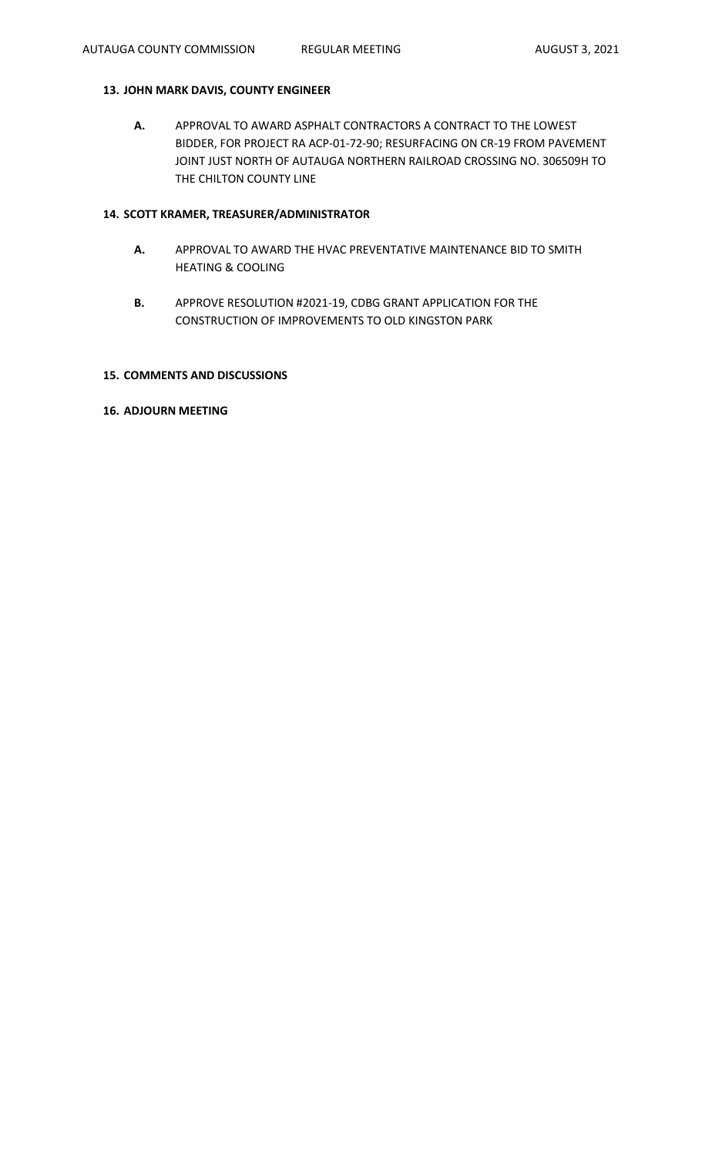# **13. JOHN MARK DAVIS, COUNTY ENGINEER**

**A.** APPROVAL TO AWARD ASPHALT CONTRACTORS A CONTRACT TO THE LOWEST BIDDER, FOR PROJECT RA ACP-01-72-90; RESURFACING ON CR-19 FROM PAVEMENT JOINT JUST NORTH OF AUTAUGA NORTHERN RAILROAD CROSSING NO. 306509H TO THE CHILTON COUNTY LINE

# **14. SCOTT KRAMER, TREASURER/ADMINISTRATOR**

- **A.** APPROVAL TO AWARD THE HVAC PREVENTATIVE MAINTENANCE BID TO SMITH HEATING & COOLING
- **B.** APPROVE RESOLUTION #2021-19, CDBG GRANT APPLICATION FOR THE CONSTRUCTION OF IMPROVEMENTS TO OLD KINGSTON PARK

# **15. COMMENTS AND DISCUSSIONS**

#### **16. ADJOURN MEETING**